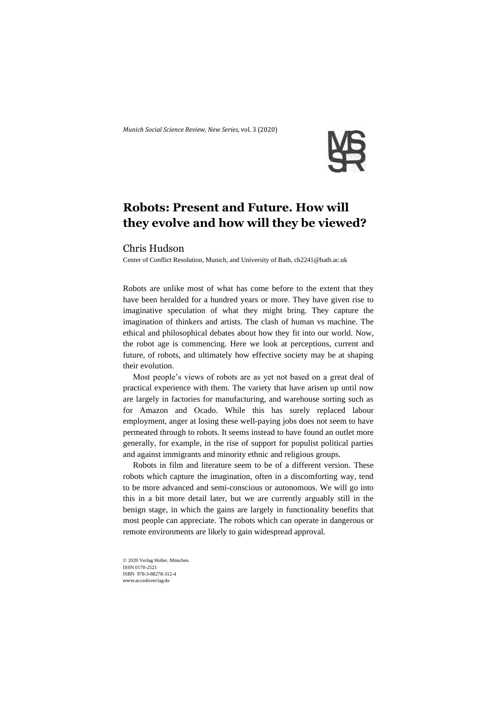*Munich Social Science Review*, *New Series,* vol. 3 (2020)



## **Robots: Present and Future. How will they evolve and how will they be viewed?**

## Chris Hudson

Center of Conflict Resolution, Munich, and University of Bath, ch2241@bath.ac.uk

Robots are unlike most of what has come before to the extent that they have been heralded for a hundred years or more. They have given rise to imaginative speculation of what they might bring. They capture the imagination of thinkers and artists. The clash of human vs machine. The ethical and philosophical debates about how they fit into our world. Now, the robot age is commencing. Here we look at perceptions, current and future, of robots, and ultimately how effective society may be at shaping their evolution.

Most people's views of robots are as yet not based on a great deal of practical experience with them. The variety that have arisen up until now are largely in factories for manufacturing, and warehouse sorting such as for Amazon and Ocado. While this has surely replaced labour employment, anger at losing these well-paying jobs does not seem to have permeated through to robots. It seems instead to have found an outlet more generally, for example, in the rise of support for populist political parties and against immigrants and minority ethnic and religious groups.

Robots in film and literature seem to be of a different version. These robots which capture the imagination, often in a discomforting way, tend to be more advanced and semi-conscious or autonomous. We will go into this in a bit more detail later, but we are currently arguably still in the benign stage, in which the gains are largely in functionality benefits that most people can appreciate. The robots which can operate in dangerous or remote environments are likely to gain widespread approval.

© 2020 Verlag Holler, München. ISSN 0170-2521 ISBN 978-3-88278-312-4 www.accedoverlag.de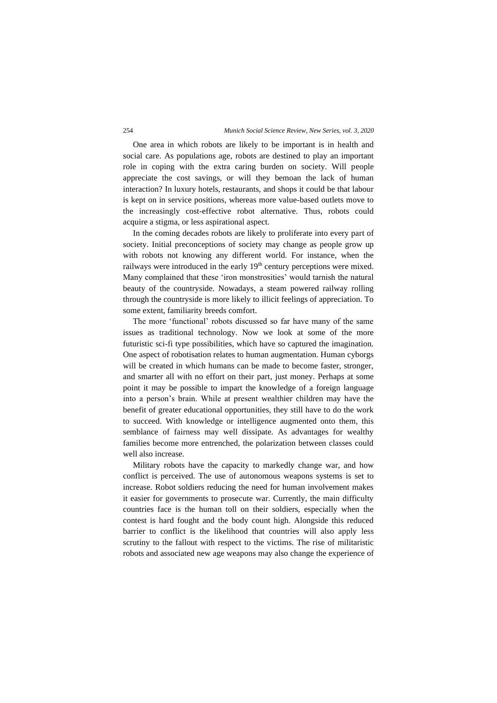## 254 *Munich Social Science Review, New Series, vol. 3, 2020*

One area in which robots are likely to be important is in health and social care. As populations age, robots are destined to play an important role in coping with the extra caring burden on society. Will people appreciate the cost savings, or will they bemoan the lack of human interaction? In luxury hotels, restaurants, and shops it could be that labour is kept on in service positions, whereas more value-based outlets move to the increasingly cost-effective robot alternative. Thus, robots could acquire a stigma, or less aspirational aspect.

In the coming decades robots are likely to proliferate into every part of society. Initial preconceptions of society may change as people grow up with robots not knowing any different world. For instance, when the railways were introduced in the early 19<sup>th</sup> century perceptions were mixed. Many complained that these 'iron monstrosities' would tarnish the natural beauty of the countryside. Nowadays, a steam powered railway rolling through the countryside is more likely to illicit feelings of appreciation. To some extent, familiarity breeds comfort.

The more 'functional' robots discussed so far have many of the same issues as traditional technology. Now we look at some of the more futuristic sci-fi type possibilities, which have so captured the imagination. One aspect of robotisation relates to human augmentation. Human cyborgs will be created in which humans can be made to become faster, stronger, and smarter all with no effort on their part, just money. Perhaps at some point it may be possible to impart the knowledge of a foreign language into a person's brain. While at present wealthier children may have the benefit of greater educational opportunities, they still have to do the work to succeed. With knowledge or intelligence augmented onto them, this semblance of fairness may well dissipate. As advantages for wealthy families become more entrenched, the polarization between classes could well also increase.

Military robots have the capacity to markedly change war, and how conflict is perceived. The use of autonomous weapons systems is set to increase. Robot soldiers reducing the need for human involvement makes it easier for governments to prosecute war. Currently, the main difficulty countries face is the human toll on their soldiers, especially when the contest is hard fought and the body count high. Alongside this reduced barrier to conflict is the likelihood that countries will also apply less scrutiny to the fallout with respect to the victims. The rise of militaristic robots and associated new age weapons may also change the experience of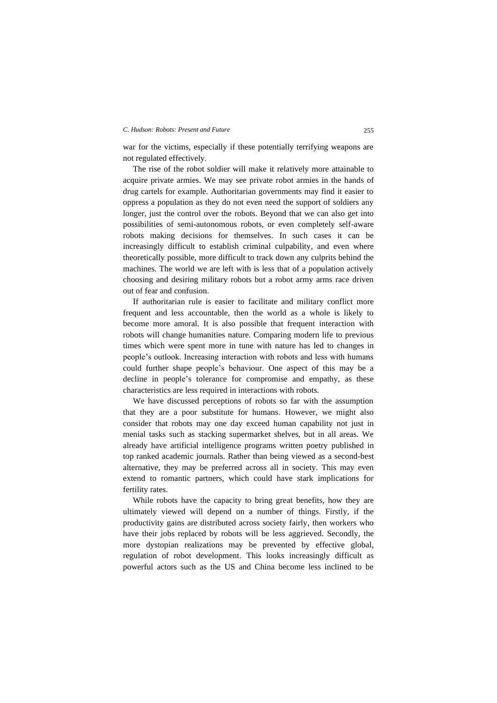## *C. Hudson: Robots: Present and Future* 255

war for the victims, especially if these potentially terrifying weapons are not regulated effectively.

The rise of the robot soldier will make it relatively more attainable to acquire private armies. We may see private robot armies in the hands of drug cartels for example. Authoritarian governments may find it easier to oppress a population as they do not even need the support of soldiers any longer, just the control over the robots. Beyond that we can also get into possibilities of semi-autonomous robots, or even completely self-aware robots making decisions for themselves. In such cases it can be increasingly difficult to establish criminal culpability, and even where theoretically possible, more difficult to track down any culprits behind the machines. The world we are left with is less that of a population actively choosing and desiring military robots but a robot army arms race driven out of fear and confusion.

If authoritarian rule is easier to facilitate and military conflict more frequent and less accountable, then the world as a whole is likely to become more amoral. It is also possible that frequent interaction with robots will change humanities nature. Comparing modern life to previous times which were spent more in tune with nature has led to changes in people's outlook. Increasing interaction with robots and less with humans could further shape people's behaviour. One aspect of this may be a decline in people's tolerance for compromise and empathy, as these characteristics are less required in interactions with robots.

We have discussed perceptions of robots so far with the assumption that they are a poor substitute for humans. However, we might also consider that robots may one day exceed human capability not just in menial tasks such as stacking supermarket shelves, but in all areas. We already have artificial intelligence programs written poetry published in top ranked academic journals. Rather than being viewed as a second-best alternative, they may be preferred across all in society. This may even extend to romantic partners, which could have stark implications for fertility rates.

While robots have the capacity to bring great benefits, how they are ultimately viewed will depend on a number of things. Firstly, if the productivity gains are distributed across society fairly, then workers who have their jobs replaced by robots will be less aggrieved. Secondly, the more dystopian realizations may be prevented by effective global, regulation of robot development. This looks increasingly difficult as powerful actors such as the US and China become less inclined to be